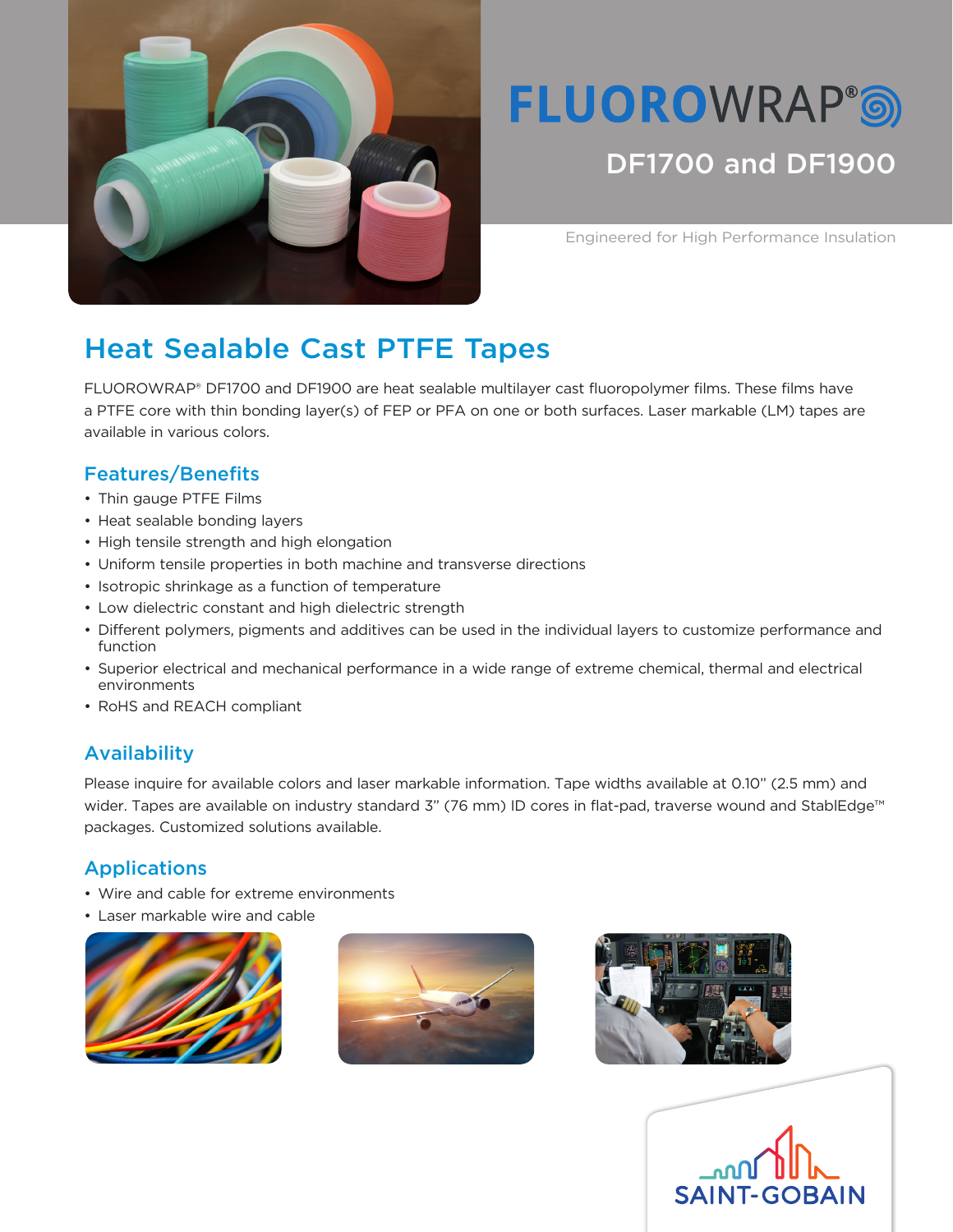

# **FLUOROWRAP®®** DF1700 and DF1900

Engineered for High Performance Insulation

# Heat Sealable Cast PTFE Tapes

FLUOROWRAP® DF1700 and DF1900 are heat sealable multilayer cast fluoropolymer films. These films have a PTFE core with thin bonding layer(s) of FEP or PFA on one or both surfaces. Laser markable (LM) tapes are available in various colors.

## Features/Benefits

- Thin gauge PTFE Films
- Heat sealable bonding layers
- High tensile strength and high elongation
- Uniform tensile properties in both machine and transverse directions
- Isotropic shrinkage as a function of temperature
- Low dielectric constant and high dielectric strength
- Different polymers, pigments and additives can be used in the individual layers to customize performance and function
- Superior electrical and mechanical performance in a wide range of extreme chemical, thermal and electrical environments
- RoHS and REACH compliant

## Availability

Please inquire for available colors and laser markable information. Tape widths available at 0.10" (2.5 mm) and wider. Tapes are available on industry standard 3" (76 mm) ID cores in flat-pad, traverse wound and StablEdge™ packages. Customized solutions available.

#### Applications

- Wire and cable for extreme environments
- Laser markable wire and cable